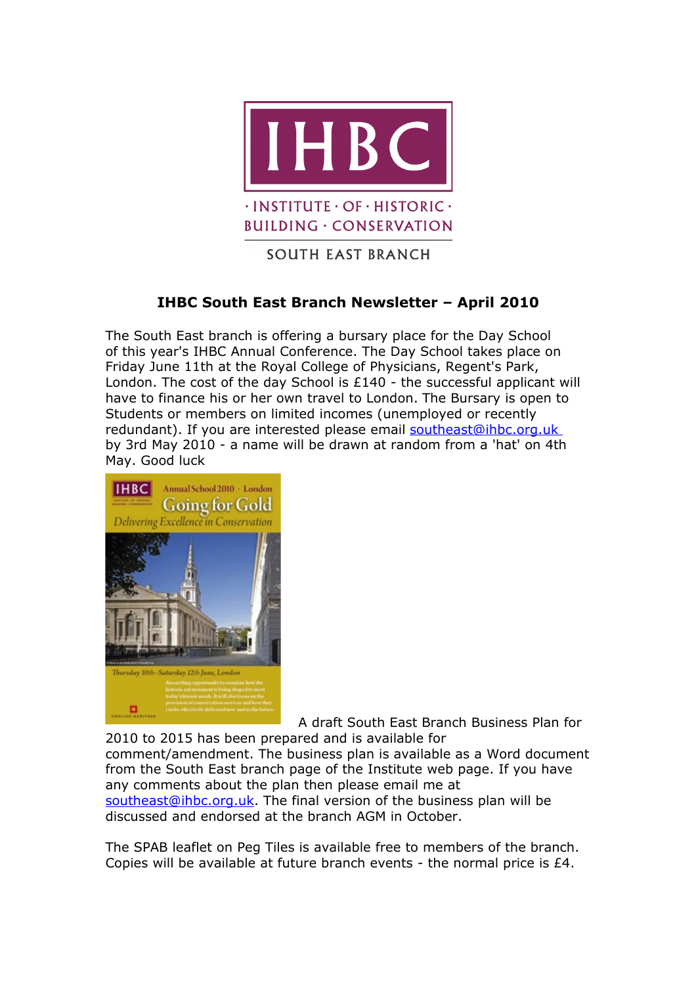

**BUILDING · CONSERVATION** 

## **SOUTH EAST BRANCH**

## **IHBC South East Branch Newsletter – April 2010**

The South East branch is offering a bursary place for the Day School of this year's IHBC Annual Conference. The Day School takes place on Friday June 11th at the Royal College of Physicians, Regent's Park, London. The cost of the day School is £140 - the successful applicant will have to finance his or her own travel to London. The Bursary is open to Students or members on limited incomes (unemployed or recently redundant). If you are interested please email [southeast@ihbc.org.uk](mailto:southeast@ihbc.org.uk) by 3rd May 2010 - a name will be drawn at random from a 'hat' on 4th May. Good luck



A draft South East Branch Business Plan for 2010 to 2015 has been prepared and is available for comment/amendment. The business plan is available as a Word document from the South East branch page of the Institute web page. If you have any comments about the plan then please email me at [southeast@ihbc.org.uk.](mailto:southeast@ihbc.org.uk) The final version of the business plan will be discussed and endorsed at the branch AGM in October.

The SPAB leaflet on Peg Tiles is available free to members of the branch. Copies will be available at future branch events - the normal price is £4.